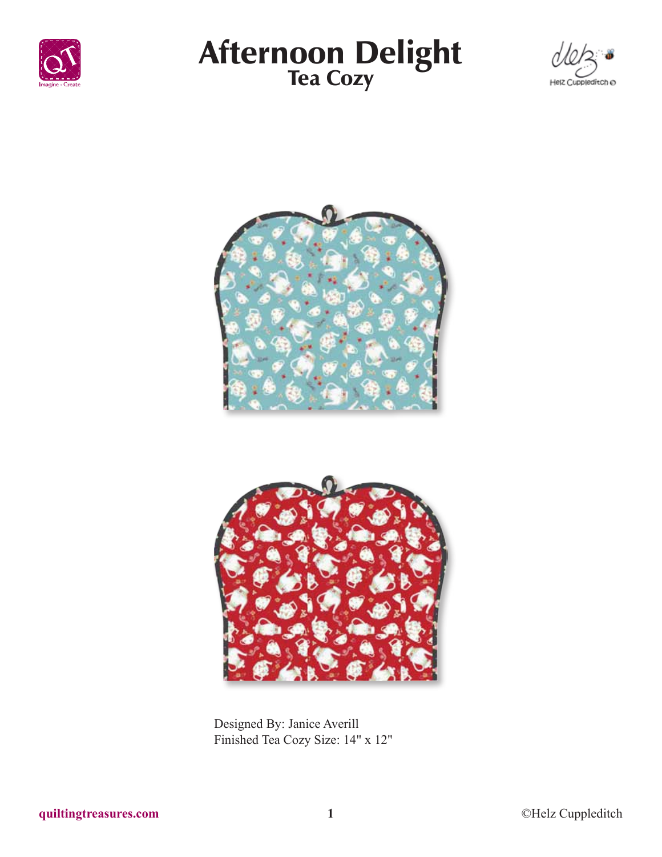

# Afternoon Delight<br>Tea Cozy







Designed By: Janice Averill Finished Tea Cozy Size: 14" x 12"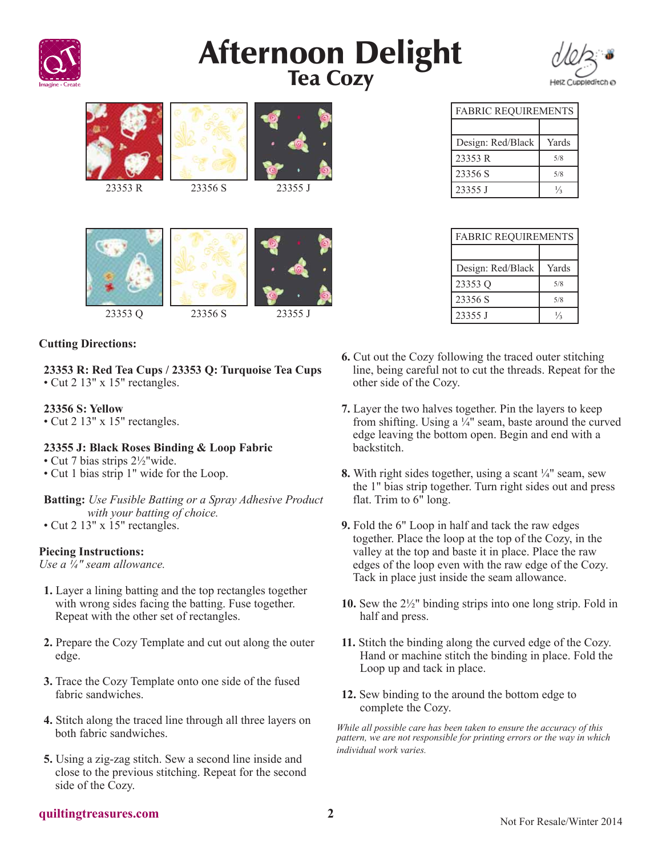

# **Afternoon Delight**<br>Tea Cozy



|         |         |         | <b>FABRIC REQUIREMEN</b> |               |
|---------|---------|---------|--------------------------|---------------|
|         |         |         |                          |               |
|         |         |         | Design: Red/Black        | Yar           |
|         |         |         | 23353 R                  | 5/8           |
|         |         |         | 23356 S                  | 5/8           |
| 23353 R | 23356 S | 23355 J | 23355 J                  | $\frac{1}{3}$ |



# **Cutting Directions:**

**23353 R: Red Tea Cups / 23353 Q: Turquoise Tea Cups** • Cut 2 13" x 15" rectangles.

# **23356 S: Yellow**

• Cut 2 13" x 15" rectangles.

### **23355 J: Black Roses Binding & Loop Fabric**

- Cut 7 bias strips  $2\frac{1}{2}$ "wide.
- Cut 1 bias strip 1" wide for the Loop.

**Batting:** *Use Fusible Batting or a Spray Adhesive Product with your batting of choice.*

• Cut 2 13" x 15" rectangles.

### **Piecing Instructions:**

*Use a ¼" seam allowance.*

- **1.** Layer a lining batting and the top rectangles together with wrong sides facing the batting. Fuse together. Repeat with the other set of rectangles.
- **2.** Prepare the Cozy Template and cut out along the outer edge.
- **3.** Trace the Cozy Template onto one side of the fused fabric sandwiches.
- **4.** Stitch along the traced line through all three layers on both fabric sandwiches.
- **5.** Using a zig-zag stitch. Sew a second line inside and close to the previous stitching. Repeat for the second side of the Cozy.

| <b>FABRIC REQUIREMENTS</b> |       |  |  |
|----------------------------|-------|--|--|
|                            |       |  |  |
| Design: Red/Black          | Yards |  |  |
| 23353 R                    | 5/8   |  |  |
| 23356 S                    | 5/8   |  |  |

| <b>FABRIC REQUIREMENTS</b> |       |  |  |
|----------------------------|-------|--|--|
|                            |       |  |  |
| Design: Red/Black          | Yards |  |  |
| 23353 Q                    | 5/8   |  |  |
| 23356 S                    | 5/8   |  |  |
| 23355 J                    | ¼     |  |  |

- **6.** Cut out the Cozy following the traced outer stitching line, being careful not to cut the threads. Repeat for the other side of the Cozy.
- **7.** Layer the two halves together. Pin the layers to keep from shifting. Using a  $\frac{1}{4}$ " seam, baste around the curved edge leaving the bottom open. Begin and end with a backstitch.
- **8.** With right sides together, using a scant ¼" seam, sew the 1" bias strip together. Turn right sides out and press flat. Trim to 6" long.
- **9.** Fold the 6" Loop in half and tack the raw edges together. Place the loop at the top of the Cozy, in the valley at the top and baste it in place. Place the raw edges of the loop even with the raw edge of the Cozy. Tack in place just inside the seam allowance.
- **10.** Sew the 2½" binding strips into one long strip. Fold in half and press.
- **11.** Stitch the binding along the curved edge of the Cozy. Hand or machine stitch the binding in place. Fold the Loop up and tack in place.
- **12.** Sew binding to the around the bottom edge to complete the Cozy.

*While all possible care has been taken to ensure the accuracy of this pattern, we are not responsible for printing errors or the way in which individual work varies.*

### **quiltingtreasures.com 2**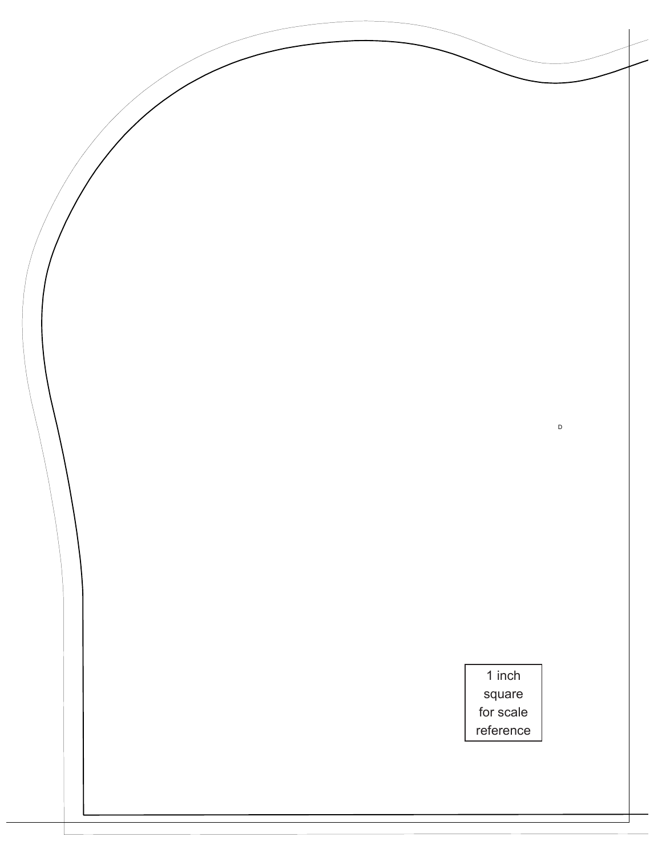$\mathsf D$ 1 inch square for scale reference